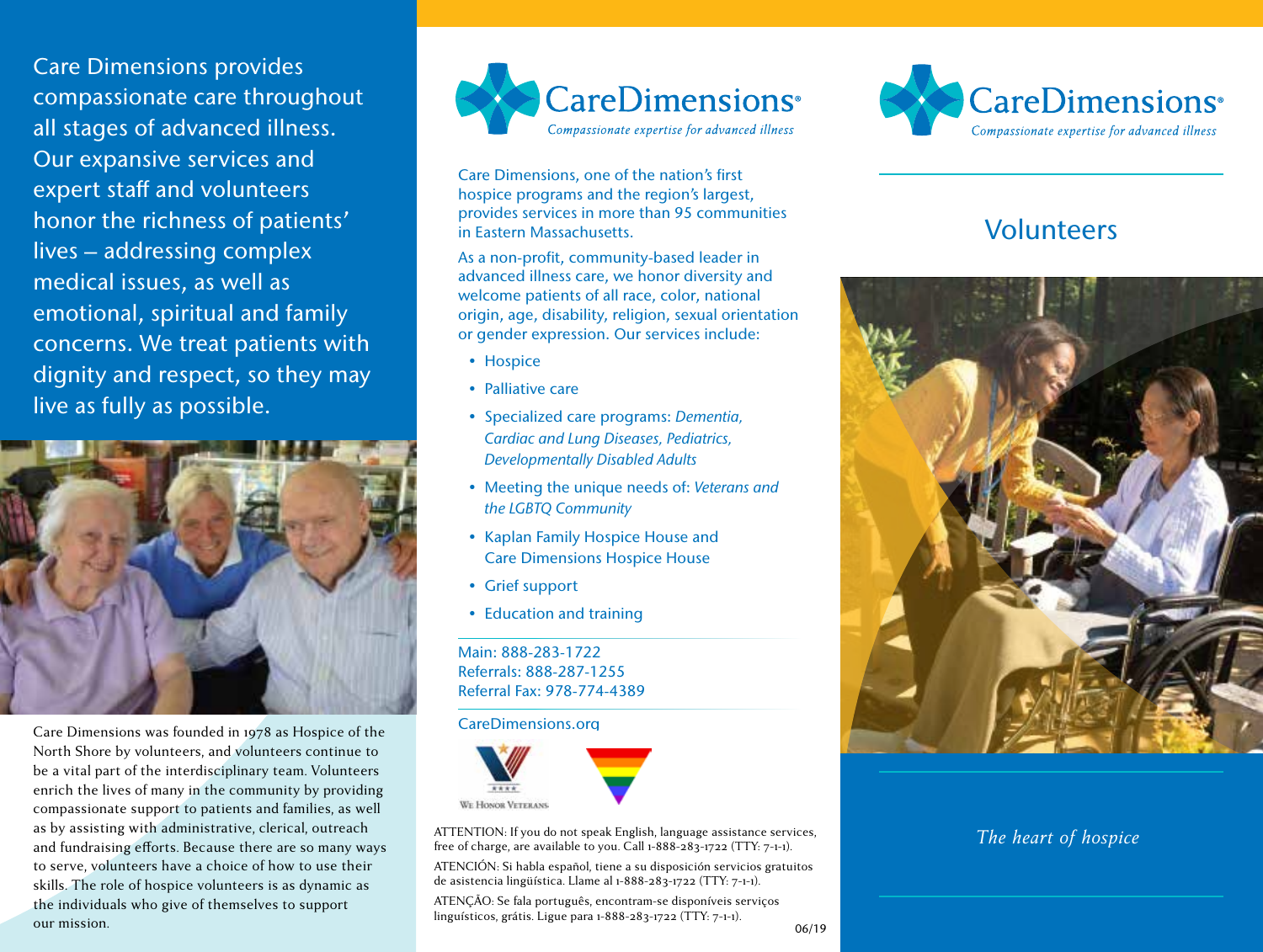Care Dimensions provides compassionate care throughout all stages of advanced illness. Our expansive services and expert staff and volunteers honor the richness of patients' lives – addressing complex medical issues, as well as emotional, spiritual and family concerns. We treat patients with dignity and respect, so they may live as fully as possible.



Care Dimensions was founded in 1978 as Hospice of the North Shore by volunteers, and volunteers continue to be a vital part of the interdisciplinary team. Volunteers enrich the lives of many in the community by providing compassionate support to patients and families, as well as by assisting with administrative, clerical, outreach and fundraising efforts. Because there are so many ways to serve, volunteers have a choice of how to use their skills. The role of hospice volunteers is as dynamic as the individuals who give of themselves to support our mission.



Care Dimensions, one of the nation's first hospice programs and the region's largest, provides services in more than 95 communities in Eastern Massachusetts.

As a non-profit, community-based leader in advanced illness care, we honor diversity and welcome patients of all race, color, national origin, age, disability, religion, sexual orientation or gender expression. Our services include:

- Hospice
- Palliative care
- Specialized care programs: *Dementia, Cardiac and Lung Diseases, Pediatrics, Developmentally Disabled Adults*
- Meeting the unique needs of: *Veterans and the LGBTQ Community*
- Kaplan Family Hospice House and Care Dimensions Hospice House
- Grief support
- Education and training

Main: 888-283-1722 Referrals: 888-287-1255 Referral Fax: 978-774-4389

#### CareDimensions.org



ATTENTION: If you do not speak English, language assistance services, free of charge, are available to you. Call 1-888-283-1722 (TTY: 7-1-1).

ATENCIÓN: Si habla español, tiene a su disposición servicios gratuitos de asistencia lingüística. Llame al 1-888-283-1722 (TTY: 7-1-1).

ATENÇÃO: Se fala português, encontram-se disponíveis serviços linguísticos, grátis. Ligue para 1-888-283-1722 (TTY: 7-1-1).



# Volunteers



# *The heart of hospice*